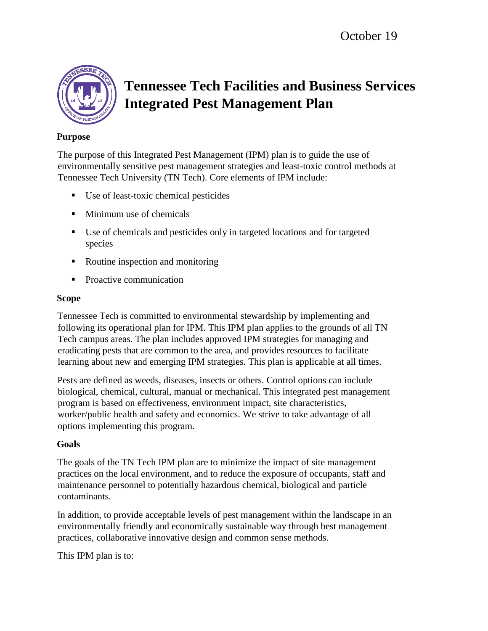

# **Tennessee Tech Facilities and Business Services Integrated Pest Management Plan**

#### **Purpose**

The purpose of this Integrated Pest Management (IPM) plan is to guide the use of environmentally sensitive pest management strategies and least-toxic control methods at Tennessee Tech University (TN Tech). Core elements of IPM include:

- Use of least-toxic chemical pesticides
- **Minimum use of chemicals**
- Use of chemicals and pesticides only in targeted locations and for targeted species
- Routine inspection and monitoring
- Proactive communication

#### **Scope**

Tennessee Tech is committed to environmental stewardship by implementing and following its operational plan for IPM. This IPM plan applies to the grounds of all TN Tech campus areas. The plan includes approved IPM strategies for managing and eradicating pests that are common to the area, and provides resources to facilitate learning about new and emerging IPM strategies. This plan is applicable at all times.

Pests are defined as weeds, diseases, insects or others. Control options can include biological, chemical, cultural, manual or mechanical. This integrated pest management program is based on effectiveness, environment impact, site characteristics, worker/public health and safety and economics. We strive to take advantage of all options implementing this program.

### **Goals**

The goals of the TN Tech IPM plan are to minimize the impact of site management practices on the local environment, and to reduce the exposure of occupants, staff and maintenance personnel to potentially hazardous chemical, biological and particle contaminants.

In addition, to provide acceptable levels of pest management within the landscape in an environmentally friendly and economically sustainable way through best management practices, collaborative innovative design and common sense methods.

This IPM plan is to: